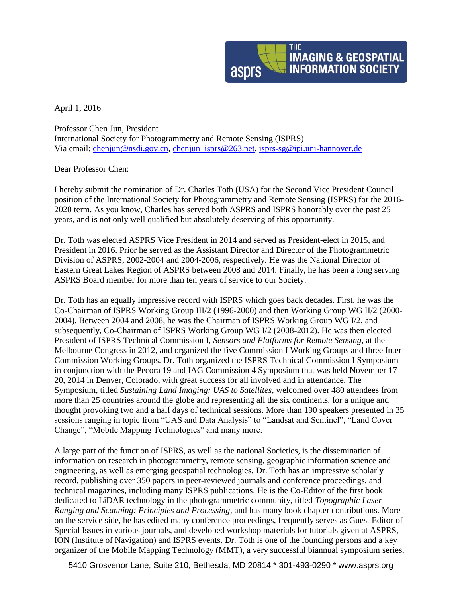

April 1, 2016

Professor Chen Jun, President International Society for Photogrammetry and Remote Sensing (ISPRS) Via email: [chenjun@nsdi.gov.cn,](mailto:chenjun@nsdi.gov.cn) [chenjun\\_isprs@263.net,](mailto:chenjun_isprs@263.net) [isprs-sg@ipi.uni-hannover.de](mailto:isprs-sg@ipi.uni-hannover.de)

Dear Professor Chen:

I hereby submit the nomination of Dr. Charles Toth (USA) for the Second Vice President Council position of the International Society for Photogrammetry and Remote Sensing (ISPRS) for the 2016- 2020 term. As you know, Charles has served both ASPRS and ISPRS honorably over the past 25 years, and is not only well qualified but absolutely deserving of this opportunity.

Dr. Toth was elected ASPRS Vice President in 2014 and served as President-elect in 2015, and President in 2016. Prior he served as the Assistant Director and Director of the Photogrammetric Division of ASPRS, 2002-2004 and 2004-2006, respectively. He was the National Director of Eastern Great Lakes Region of ASPRS between 2008 and 2014. Finally, he has been a long serving ASPRS Board member for more than ten years of service to our Society.

Dr. Toth has an equally impressive record with ISPRS which goes back decades. First, he was the Co-Chairman of ISPRS Working Group III/2 (1996-2000) and then Working Group WG II/2 (2000- 2004). Between 2004 and 2008, he was the Chairman of ISPRS Working Group WG I/2, and subsequently, Co-Chairman of ISPRS Working Group WG I/2 (2008-2012). He was then elected President of ISPRS Technical Commission I, *Sensors and Platforms for Remote Sensing*, at the Melbourne Congress in 2012, and organized the five Commission I Working Groups and three Inter-Commission Working Groups. Dr. Toth organized the ISPRS Technical Commission I Symposium in conjunction with the Pecora 19 and IAG Commission 4 Symposium that was held November 17– 20, 2014 in Denver, Colorado, with great success for all involved and in attendance. The Symposium, titled *Sustaining Land Imaging: UAS to Satellites*, welcomed over 480 attendees from more than 25 countries around the globe and representing all the six continents, for a unique and thought provoking two and a half days of technical sessions. More than 190 speakers presented in 35 sessions ranging in topic from "UAS and Data Analysis" to "Landsat and Sentinel", "Land Cover Change", "Mobile Mapping Technologies" and many more.

A large part of the function of ISPRS, as well as the national Societies, is the dissemination of information on research in photogrammetry, remote sensing, geographic information science and engineering, as well as emerging geospatial technologies. Dr. Toth has an impressive scholarly record, publishing over 350 papers in peer-reviewed journals and conference proceedings, and technical magazines, including many ISPRS publications. He is the Co-Editor of the first book dedicated to LiDAR technology in the photogrammetric community, titled *Topographic Laser Ranging and Scanning: Principles and Processing*, and has many book chapter contributions. More on the service side, he has edited many conference proceedings, frequently serves as Guest Editor of Special Issues in various journals, and developed workshop materials for tutorials given at ASPRS, ION (Institute of Navigation) and ISPRS events. Dr. Toth is one of the founding persons and a key organizer of the Mobile Mapping Technology (MMT), a very successful biannual symposium series,

5410 Grosvenor Lane, Suite 210, Bethesda, MD 20814 \* 301-493-0290 \* www.asprs.org